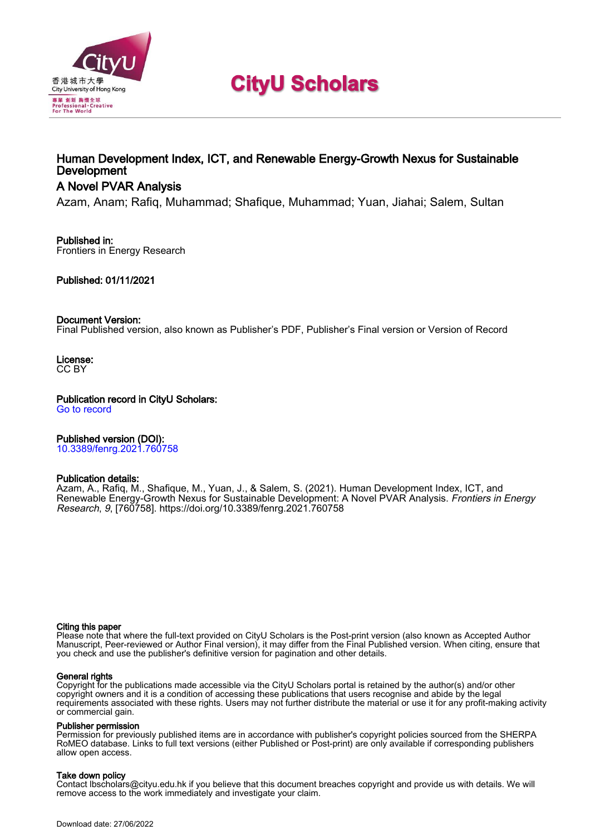

# **CityU Scholars**

# Human Development Index, ICT, and Renewable Energy-Growth Nexus for Sustainable **Development**

# A Novel PVAR Analysis

Azam, Anam; Rafiq, Muhammad; Shafique, Muhammad; Yuan, Jiahai; Salem, Sultan

## Published in:

Frontiers in Energy Research

## Published: 01/11/2021

## Document Version:

Final Published version, also known as Publisher's PDF, Publisher's Final version or Version of Record

License: CC BY

Publication record in CityU Scholars:

[Go to record](https://scholars.cityu.edu.hk/en/publications/human-development-index-ict-and-renewable-energygrowth-nexus-for-sustainable-development(78a85f45-a68e-4e75-805a-2806bca742a9).html)

# Published version (DOI):

[10.3389/fenrg.2021.760758](https://doi.org/10.3389/fenrg.2021.760758)

## Publication details:

Azam, A., Rafiq, M[., Shafique, M.,](https://scholars.cityu.edu.hk/en/persons/muhammad-shafique(0c797f24-42f6-49a9-81ce-439d7339cb7e).html) Yuan, J., & Salem, S. (2021). [Human Development Index, ICT, and](https://scholars.cityu.edu.hk/en/publications/human-development-index-ict-and-renewable-energygrowth-nexus-for-sustainable-development(78a85f45-a68e-4e75-805a-2806bca742a9).html) [Renewable Energy-Growth Nexus for Sustainable Development: A Novel PVAR Analysis.](https://scholars.cityu.edu.hk/en/publications/human-development-index-ict-and-renewable-energygrowth-nexus-for-sustainable-development(78a85f45-a68e-4e75-805a-2806bca742a9).html) [Frontiers in Energy](https://scholars.cityu.edu.hk/en/journals/frontiers-in-energy-research(dc7270eb-9e36-480a-a439-8d9d3cdf1874)/publications.html) [Research](https://scholars.cityu.edu.hk/en/journals/frontiers-in-energy-research(dc7270eb-9e36-480a-a439-8d9d3cdf1874)/publications.html), 9, [760758]. <https://doi.org/10.3389/fenrg.2021.760758>

## Citing this paper

Please note that where the full-text provided on CityU Scholars is the Post-print version (also known as Accepted Author Manuscript, Peer-reviewed or Author Final version), it may differ from the Final Published version. When citing, ensure that you check and use the publisher's definitive version for pagination and other details.

## General rights

Copyright for the publications made accessible via the CityU Scholars portal is retained by the author(s) and/or other copyright owners and it is a condition of accessing these publications that users recognise and abide by the legal requirements associated with these rights. Users may not further distribute the material or use it for any profit-making activity or commercial gain.

## Publisher permission

Permission for previously published items are in accordance with publisher's copyright policies sourced from the SHERPA RoMEO database. Links to full text versions (either Published or Post-print) are only available if corresponding publishers allow open access.

## Take down policy

Contact lbscholars@cityu.edu.hk if you believe that this document breaches copyright and provide us with details. We will remove access to the work immediately and investigate your claim.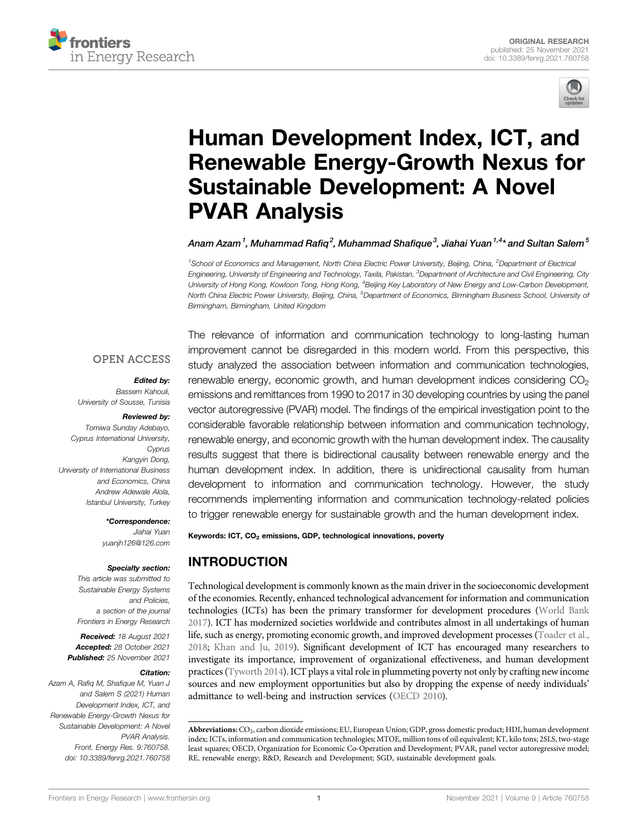



# [Human Development Index, ICT, and](https://www.frontiersin.org/articles/10.3389/fenrg.2021.760758/full) [Renewable Energy-Growth Nexus for](https://www.frontiersin.org/articles/10.3389/fenrg.2021.760758/full) [Sustainable Development: A Novel](https://www.frontiersin.org/articles/10.3389/fenrg.2021.760758/full) [PVAR Analysis](https://www.frontiersin.org/articles/10.3389/fenrg.2021.760758/full)

Anam Azam $^1$ , Muhammad Rafiq $^2$ , Muhammad Shafique $^3$ , Jiahai Yuan $^{1,4\star}$ and Sultan Salem $^5$ 

<sup>1</sup> School of Economics and Management, North China Electric Power University, Beijing, China, <sup>2</sup>Department of Electrica Engineering, University of Engineering and Technology, Taxila, Pakistan, <sup>3</sup>Department of Architecture and Civil Engineering, City University of Hong Kong, Kowloon Tong, Hong Kong, <sup>4</sup>Beijing Key Laboratory of New Energy and Low-Carbon Development, North China Electric Power University, Beijing, China, <sup>5</sup>Department of Economics, Birmingham Business School, University o*i* Birmingham, Birmingham, United Kingdom

## **OPEN ACCESS**

## Edited by:

Bassem Kahouli, University of Sousse, Tunisia

#### Reviewed by:

Tomiwa Sunday Adebayo, Cyprus International University, Cyprus Kangyin Dong, University of International Business and Economics, China Andrew Adewale Alola, Istanbul University, Turkey

> \*Correspondence: Jiahai Yuan

[yuanjh126@126.com](mailto:yuanjh126@126.com)

#### Specialty section:

This article was submitted to Sustainable Energy Systems and Policies, a section of the journal Frontiers in Energy Research

Received: 18 August 2021 Accepted: 28 October 2021 Published: 25 November 2021

#### Citation:

Azam A, Rafiq M, Shafique M, Yuan J and Salem S (2021) Human Development Index, ICT, and Renewable Energy-Growth Nexus for Sustainable Development: A Novel PVAR Analysis. Front. Energy Res. 9:760758. doi: [10.3389/fenrg.2021.760758](https://doi.org/10.3389/fenrg.2021.760758)

The relevance of information and communication technology to long-lasting human improvement cannot be disregarded in this modern world. From this perspective, this study analyzed the association between information and communication technologies, renewable energy, economic growth, and human development indices considering  $CO<sub>2</sub>$ emissions and remittances from 1990 to 2017 in 30 developing countries by using the panel vector autoregressive (PVAR) model. The findings of the empirical investigation point to the considerable favorable relationship between information and communication technology, renewable energy, and economic growth with the human development index. The causality results suggest that there is bidirectional causality between renewable energy and the human development index. In addition, there is unidirectional causality from human development to information and communication technology. However, the study recommends implementing information and communication technology-related policies to trigger renewable energy for sustainable growth and the human development index.

Keywords: ICT, CO<sub>2</sub> emissions, GDP, technological innovations, poverty

# INTRODUCTION

Technological development is commonly known as the main driver in the socioeconomic development of the economies. Recently, enhanced technological advancement for information and communication technologies (ICTs) has been the primary transformer for development procedures ([World Bank](#page-11-0) [2017](#page-11-0)). ICT has modernized societies worldwide and contributes almost in all undertakings of human life, such as energy, promoting economic growth, and improved development processes [\(Toader et al.,](#page-11-1) [2018](#page-11-1); [Khan and Ju, 2019\)](#page-10-0). Significant development of ICT has encouraged many researchers to investigate its importance, improvement of organizational effectiveness, and human development practices ([Tyworth 2014](#page-11-2)). ICT plays a vital role in plummeting poverty not only by crafting new income sources and new employment opportunities but also by dropping the expense of needy individuals' admittance to well-being and instruction services ([OECD 2010\)](#page-11-3).

Abbreviations: CO2, carbon dioxide emissions; EU, European Union; GDP, gross domestic product; HDI, human development index; ICTs, information and communication technologies; MTOE, million tons of oil equivalent; KT, kilo tons; 2SLS, two-stage least squares; OECD, Organization for Economic Co-Operation and Development; PVAR, panel vector autoregressive model; RE, renewable energy; R&D, Research and Development; SGD, sustainable development goals.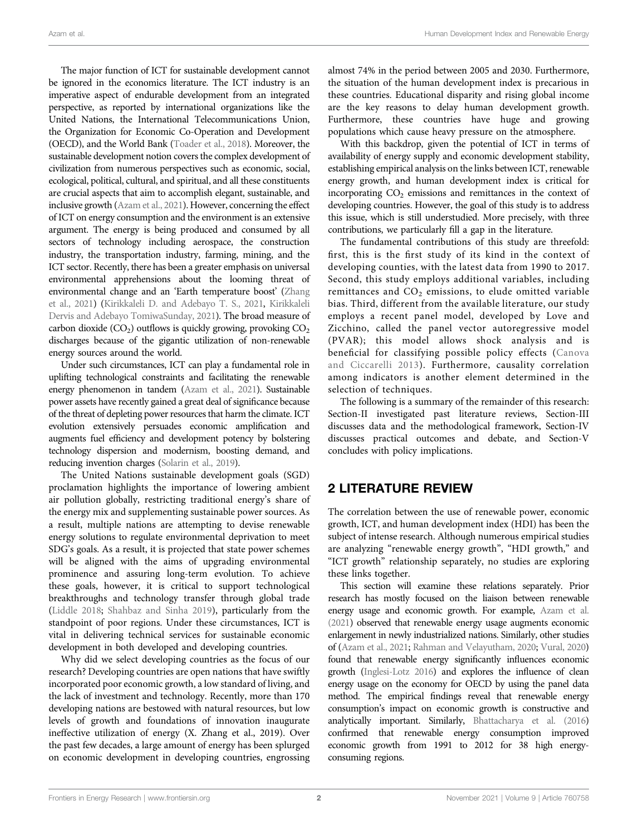The major function of ICT for sustainable development cannot be ignored in the economics literature. The ICT industry is an imperative aspect of endurable development from an integrated perspective, as reported by international organizations like the United Nations, the International Telecommunications Union, the Organization for Economic Co-Operation and Development (OECD), and the World Bank [\(Toader et al., 2018\)](#page-11-1). Moreover, the sustainable development notion covers the complex development of civilization from numerous perspectives such as economic, social, ecological, political, cultural, and spiritual, and all these constituents are crucial aspects that aim to accomplish elegant, sustainable, and inclusive growth ([Azam et al., 2021\)](#page-10-1). However, concerning the effect of ICT on energy consumption and the environment is an extensive argument. The energy is being produced and consumed by all sectors of technology including aerospace, the construction industry, the transportation industry, farming, mining, and the ICT sector. Recently, there has been a greater emphasis on universal environmental apprehensions about the looming threat of environmental change and an 'Earth temperature boost' [\(Zhang](#page-11-4) [et al., 2021](#page-11-4)) [\(Kirikkaleli D. and Adebayo T. S., 2021,](#page-10-2) [Kirikkaleli](#page-10-3) [Dervis and Adebayo TomiwaSunday, 2021](#page-10-3)). The broad measure of carbon dioxide  $(CO_2)$  outflows is quickly growing, provoking  $CO_2$ discharges because of the gigantic utilization of non-renewable energy sources around the world.

Under such circumstances, ICT can play a fundamental role in uplifting technological constraints and facilitating the renewable energy phenomenon in tandem [\(Azam et al., 2021](#page-10-4)). Sustainable power assets have recently gained a great deal of significance because of the threat of depleting power resources that harm the climate. ICT evolution extensively persuades economic amplification and augments fuel efficiency and development potency by bolstering technology dispersion and modernism, boosting demand, and reducing invention charges ([Solarin et al., 2019](#page-11-5)).

The United Nations sustainable development goals (SGD) proclamation highlights the importance of lowering ambient air pollution globally, restricting traditional energy's share of the energy mix and supplementing sustainable power sources. As a result, multiple nations are attempting to devise renewable energy solutions to regulate environmental deprivation to meet SDG's goals. As a result, it is projected that state power schemes will be aligned with the aims of upgrading environmental prominence and assuring long-term evolution. To achieve these goals, however, it is critical to support technological breakthroughs and technology transfer through global trade ([Liddle 2018](#page-10-5); [Shahbaz and Sinha 2019\)](#page-11-6), particularly from the standpoint of poor regions. Under these circumstances, ICT is vital in delivering technical services for sustainable economic development in both developed and developing countries.

Why did we select developing countries as the focus of our research? Developing countries are open nations that have swiftly incorporated poor economic growth, a low standard of living, and the lack of investment and technology. Recently, more than 170 developing nations are bestowed with natural resources, but low levels of growth and foundations of innovation inaugurate ineffective utilization of energy (X. Zhang et al., 2019). Over the past few decades, a large amount of energy has been splurged on economic development in developing countries, engrossing almost 74% in the period between 2005 and 2030. Furthermore, the situation of the human development index is precarious in these countries. Educational disparity and rising global income are the key reasons to delay human development growth. Furthermore, these countries have huge and growing populations which cause heavy pressure on the atmosphere.

With this backdrop, given the potential of ICT in terms of availability of energy supply and economic development stability, establishing empirical analysis on the links between ICT, renewable energy growth, and human development index is critical for incorporating  $CO<sub>2</sub>$  emissions and remittances in the context of developing countries. However, the goal of this study is to address this issue, which is still understudied. More precisely, with three contributions, we particularly fill a gap in the literature.

The fundamental contributions of this study are threefold: first, this is the first study of its kind in the context of developing counties, with the latest data from 1990 to 2017. Second, this study employs additional variables, including remittances and  $CO<sub>2</sub>$  emissions, to elude omitted variable bias. Third, different from the available literature, our study employs a recent panel model, developed by Love and Zicchino, called the panel vector autoregressive model (PVAR); this model allows shock analysis and is beneficial for classifying possible policy effects ([Canova](#page-10-6) [and Ciccarelli 2013](#page-10-6)). Furthermore, causality correlation among indicators is another element determined in the selection of techniques.

The following is a summary of the remainder of this research: Section-II investigated past literature reviews, Section-III discusses data and the methodological framework, Section-IV discusses practical outcomes and debate, and Section-V concludes with policy implications.

# 2 LITERATURE REVIEW

The correlation between the use of renewable power, economic growth, ICT, and human development index (HDI) has been the subject of intense research. Although numerous empirical studies are analyzing "renewable energy growth", "HDI growth," and "ICT growth" relationship separately, no studies are exploring these links together.

This section will examine these relations separately. Prior research has mostly focused on the liaison between renewable energy usage and economic growth. For example, [Azam et al.](#page-10-7) [\(2021\)](#page-10-7) observed that renewable energy usage augments economic enlargement in newly industrialized nations. Similarly, other studies of ([Azam et al., 2021](#page-10-7); [Rahman and Velayutham, 2020](#page-11-7); [Vural, 2020\)](#page-11-8) found that renewable energy significantly influences economic growth ([Inglesi-Lotz 2016](#page-10-8)) and explores the influence of clean energy usage on the economy for OECD by using the panel data method. The empirical findings reveal that renewable energy consumption's impact on economic growth is constructive and analytically important. Similarly, [Bhattacharya et al. \(2016\)](#page-10-9) confirmed that renewable energy consumption improved economic growth from 1991 to 2012 for 38 high energyconsuming regions.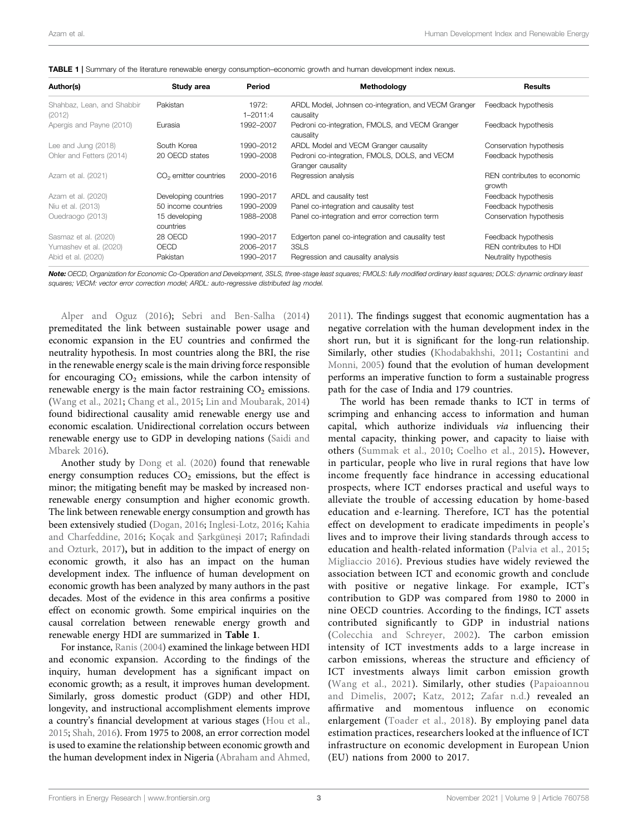| Author(s)                            | Study area                 | Period                | Methodology                                                        | <b>Results</b>                        |
|--------------------------------------|----------------------------|-----------------------|--------------------------------------------------------------------|---------------------------------------|
| Shahbaz, Lean, and Shabbir<br>(2012) | Pakistan                   | 1972:<br>$1 - 2011:4$ | ARDL Model, Johnsen co-integration, and VECM Granger<br>causality  | Feedback hypothesis                   |
| Apergis and Payne (2010)             | Eurasia                    | 1992-2007             | Pedroni co-integration, FMOLS, and VECM Granger<br>causality       | Feedback hypothesis                   |
| Lee and Jung (2018)                  | South Korea                | 1990-2012             | ARDL Model and VECM Granger causality                              | Conservation hypothesis               |
| Ohler and Fetters (2014)             | 20 OECD states             | 1990-2008             | Pedroni co-integration, FMOLS, DOLS, and VECM<br>Granger causality | Feedback hypothesis                   |
| Azam et al. (2021)                   | $CO2$ emitter countries    | 2000-2016             | Regression analysis                                                | REN contributes to economic<br>growth |
| Azam et al. (2020)                   | Developing countries       | 1990-2017             | ARDL and causality test                                            | Feedback hypothesis                   |
| Niu et al. (2013)                    | 50 income countries        | 1990-2009             | Panel co-integration and causality test                            | Feedback hypothesis                   |
| Ouedraogo (2013)                     | 15 developing<br>countries | 1988-2008             | Panel co-integration and error correction term                     | Conservation hypothesis               |
| Sasmaz et al. (2020)                 | 28 OECD                    | 1990-2017             | Edgerton panel co-integration and causality test                   | Feedback hypothesis                   |
| Yumashev et al. (2020)               | OECD                       | 2006-2017             | 3SLS                                                               | REN contributes to HDI                |
| Abid et al. (2020)                   | Pakistan                   | 1990-2017             | Regression and causality analysis                                  | Neutrality hypothesis                 |

<span id="page-3-0"></span>TABLE 1 | Summary of the literature renewable energy consumption–economic growth and human development index nexus.

Note: OECD, Organization for Economic Co-Operation and Development, 3SLS, three-stage least squares; FMOLS: fully modified ordinary least squares; DOLS: dynamic ordinary least squares; VECM: vector error correction model; ARDL: auto-regressive distributed lag model.

[Alper and Oguz \(2016\)](#page-10-10); [Sebri and Ben-Salha \(2014\)](#page-11-9) premeditated the link between sustainable power usage and economic expansion in the EU countries and confirmed the neutrality hypothesis. In most countries along the BRI, the rise in the renewable energy scale is the main driving force responsible for encouraging  $CO<sub>2</sub>$  emissions, while the carbon intensity of renewable energy is the main factor restraining  $CO<sub>2</sub>$  emissions. ([Wang et al., 2021;](#page-11-10) [Chang et al., 2015](#page-10-11); [Lin and Moubarak, 2014\)](#page-11-11) found bidirectional causality amid renewable energy use and economic escalation. Unidirectional correlation occurs between renewable energy use to GDP in developing nations [\(Saidi and](#page-11-12) [Mbarek 2016\)](#page-11-12).

Another study by [Dong et al. \(2020\)](#page-10-12) found that renewable energy consumption reduces  $CO<sub>2</sub>$  emissions, but the effect is minor; the mitigating benefit may be masked by increased nonrenewable energy consumption and higher economic growth. The link between renewable energy consumption and growth has been extensively studied ([Dogan, 2016](#page-10-13); [Inglesi-Lotz, 2016](#page-10-8); [Kahia](#page-10-14) [and Charfeddine, 2016;](#page-10-14) [Koçak and](#page-10-15) Şarkgüneşi 2017; Rafi[ndadi](#page-11-13) [and Ozturk, 2017](#page-11-13)), but in addition to the impact of energy on economic growth, it also has an impact on the human development index. The influence of human development on economic growth has been analyzed by many authors in the past decades. Most of the evidence in this area confirms a positive effect on economic growth. Some empirical inquiries on the causal correlation between renewable energy growth and renewable energy HDI are summarized in [Table 1](#page-3-0).

For instance, [Ranis \(2004\)](#page-11-14) examined the linkage between HDI and economic expansion. According to the findings of the inquiry, human development has a significant impact on economic growth; as a result, it improves human development. Similarly, gross domestic product (GDP) and other HDI, longevity, and instructional accomplishment elements improve a country's financial development at various stages [\(Hou et al.,](#page-10-16) [2015](#page-10-16); [Shah, 2016\)](#page-11-15). From 1975 to 2008, an error correction model is used to examine the relationship between economic growth and the human development index in Nigeria ([Abraham and Ahmed,](#page-10-17) [2011](#page-10-17)). The findings suggest that economic augmentation has a negative correlation with the human development index in the short run, but it is significant for the long-run relationship. Similarly, other studies [\(Khodabakhshi, 2011;](#page-10-18) [Costantini and](#page-10-19) [Monni, 2005\)](#page-10-19) found that the evolution of human development performs an imperative function to form a sustainable progress path for the case of India and 179 countries.

The world has been remade thanks to ICT in terms of scrimping and enhancing access to information and human capital, which authorize individuals via influencing their mental capacity, thinking power, and capacity to liaise with others ([Summak et al., 2010;](#page-11-16) [Coelho et al., 2015\)](#page-10-20). However, in particular, people who live in rural regions that have low income frequently face hindrance in accessing educational prospects, where ICT endorses practical and useful ways to alleviate the trouble of accessing education by home-based education and e-learning. Therefore, ICT has the potential effect on development to eradicate impediments in people's lives and to improve their living standards through access to education and health-related information ([Palvia et al., 2015;](#page-11-17) [Migliaccio 2016\)](#page-11-18). Previous studies have widely reviewed the association between ICT and economic growth and conclude with positive or negative linkage. For example, ICT's contribution to GDP was compared from 1980 to 2000 in nine OECD countries. According to the findings, ICT assets contributed significantly to GDP in industrial nations ([Colecchia and Schreyer, 2002\)](#page-10-21). The carbon emission intensity of ICT investments adds to a large increase in carbon emissions, whereas the structure and efficiency of ICT investments always limit carbon emission growth ([Wang et al., 2021](#page-11-19)). Similarly, other studies ([Papaioannou](#page-11-20) [and Dimelis, 2007;](#page-11-20) [Katz, 2012](#page-10-22); [Zafar n.d.](#page-11-21)) revealed an affirmative and momentous influence on economic enlargement [\(Toader et al., 2018](#page-11-1)). By employing panel data estimation practices, researchers looked at the influence of ICT infrastructure on economic development in European Union (EU) nations from 2000 to 2017.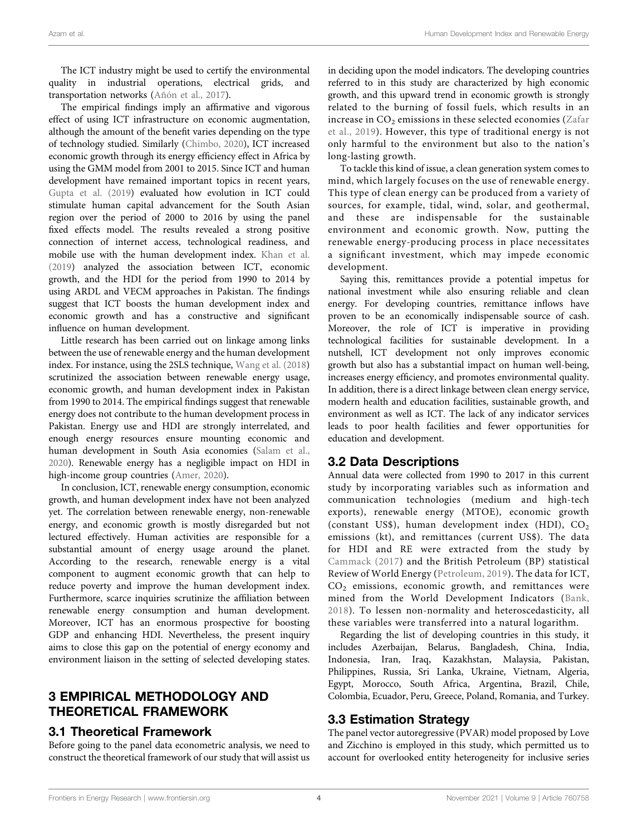The ICT industry might be used to certify the environmental quality in industrial operations, electrical grids, and transportation networks ([Añón et al., 2017](#page-10-27)).

The empirical findings imply an affirmative and vigorous effect of using ICT infrastructure on economic augmentation, although the amount of the benefit varies depending on the type of technology studied. Similarly ([Chimbo, 2020](#page-10-28)), ICT increased economic growth through its energy efficiency effect in Africa by using the GMM model from 2001 to 2015. Since ICT and human development have remained important topics in recent years, [Gupta et al. \(2019](#page-10-29)) evaluated how evolution in ICT could stimulate human capital advancement for the South Asian region over the period of 2000 to 2016 by using the panel fixed effects model. The results revealed a strong positive connection of internet access, technological readiness, and mobile use with the human development index. [Khan et al.](#page-10-0) [\(2019\)](#page-10-0) analyzed the association between ICT, economic growth, and the HDI for the period from 1990 to 2014 by using ARDL and VECM approaches in Pakistan. The findings suggest that ICT boosts the human development index and economic growth and has a constructive and significant influence on human development.

Little research has been carried out on linkage among links between the use of renewable energy and the human development index. For instance, using the 2SLS technique, [Wang et al. \(2018\)](#page-11-28) scrutinized the association between renewable energy usage, economic growth, and human development index in Pakistan from 1990 to 2014. The empirical findings suggest that renewable energy does not contribute to the human development process in Pakistan. Energy use and HDI are strongly interrelated, and enough energy resources ensure mounting economic and human development in South Asia economies [\(Salam et al.,](#page-11-29) [2020](#page-11-29)). Renewable energy has a negligible impact on HDI in high-income group countries [\(Amer, 2020](#page-10-30)).

In conclusion, ICT, renewable energy consumption, economic growth, and human development index have not been analyzed yet. The correlation between renewable energy, non-renewable energy, and economic growth is mostly disregarded but not lectured effectively. Human activities are responsible for a substantial amount of energy usage around the planet. According to the research, renewable energy is a vital component to augment economic growth that can help to reduce poverty and improve the human development index. Furthermore, scarce inquiries scrutinize the affiliation between renewable energy consumption and human development. Moreover, ICT has an enormous prospective for boosting GDP and enhancing HDI. Nevertheless, the present inquiry aims to close this gap on the potential of energy economy and environment liaison in the setting of selected developing states.

# 3 EMPIRICAL METHODOLOGY AND THEORETICAL FRAMEWORK

## 3.1 Theoretical Framework

Before going to the panel data econometric analysis, we need to construct the theoretical framework of our study that will assist us in deciding upon the model indicators. The developing countries referred to in this study are characterized by high economic growth, and this upward trend in economic growth is strongly related to the burning of fossil fuels, which results in an increase in  $CO<sub>2</sub>$  emissions in these selected economies ([Zafar](#page-11-30) [et al., 2019\)](#page-11-30). However, this type of traditional energy is not only harmful to the environment but also to the nation's long-lasting growth.

To tackle this kind of issue, a clean generation system comes to mind, which largely focuses on the use of renewable energy. This type of clean energy can be produced from a variety of sources, for example, tidal, wind, solar, and geothermal, and these are indispensable for the sustainable environment and economic growth. Now, putting the renewable energy-producing process in place necessitates a significant investment, which may impede economic development.

Saying this, remittances provide a potential impetus for national investment while also ensuring reliable and clean energy. For developing countries, remittance inflows have proven to be an economically indispensable source of cash. Moreover, the role of ICT is imperative in providing technological facilities for sustainable development. In a nutshell, ICT development not only improves economic growth but also has a substantial impact on human well-being, increases energy efficiency, and promotes environmental quality. In addition, there is a direct linkage between clean energy service, modern health and education facilities, sustainable growth, and environment as well as ICT. The lack of any indicator services leads to poor health facilities and fewer opportunities for education and development.

## 3.2 Data Descriptions

Annual data were collected from 1990 to 2017 in this current study by incorporating variables such as information and communication technologies (medium and high-tech exports), renewable energy (MTOE), economic growth (constant US\$), human development index (HDI),  $CO<sub>2</sub>$ emissions (kt), and remittances (current US\$). The data for HDI and RE were extracted from the study by [Cammack \(2017\)](#page-10-31) and the British Petroleum (BP) statistical Review of World Energy ([Petroleum, 2019\)](#page-11-31). The data for ICT, CO2 emissions, economic growth, and remittances were mined from the World Development Indicators ([Bank,](#page-10-32) [2018](#page-10-32)). To lessen non-normality and heteroscedasticity, all these variables were transferred into a natural logarithm.

Regarding the list of developing countries in this study, it includes Azerbaijan, Belarus, Bangladesh, China, India, Indonesia, Iran, Iraq, Kazakhstan, Malaysia, Pakistan, Philippines, Russia, Sri Lanka, Ukraine, Vietnam, Algeria, Egypt, Morocco, South Africa, Argentina, Brazil, Chile, Colombia, Ecuador, Peru, Greece, Poland, Romania, and Turkey.

## 3.3 Estimation Strategy

The panel vector autoregressive (PVAR) model proposed by Love and Zicchino is employed in this study, which permitted us to account for overlooked entity heterogeneity for inclusive series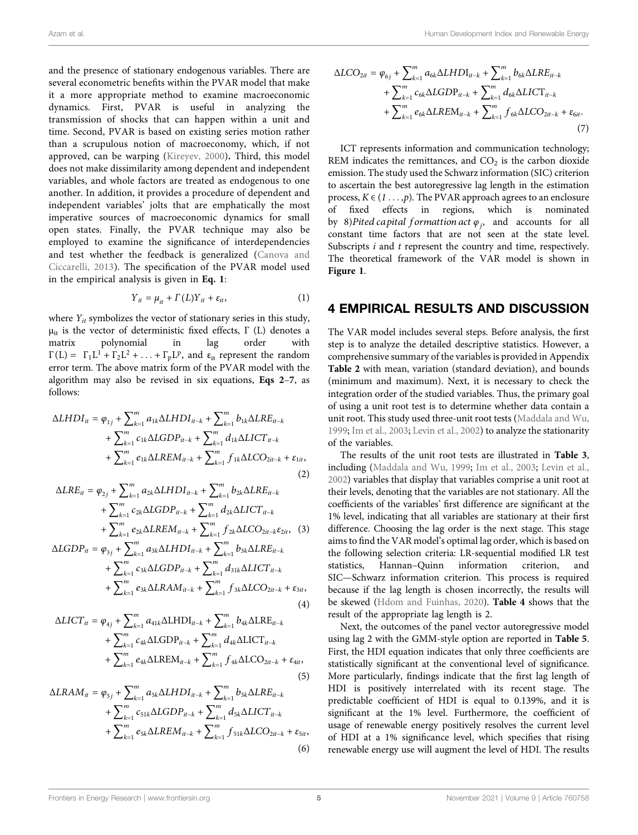and the presence of stationary endogenous variables. There are several econometric benefits within the PVAR model that make it a more appropriate method to examine macroeconomic dynamics. First, PVAR is useful in analyzing the transmission of shocks that can happen within a unit and time. Second, PVAR is based on existing series motion rather than a scrupulous notion of macroeconomy, which, if not approved, can be warping ([Kireyev, 2000\)](#page-10-33). Third, this model does not make dissimilarity among dependent and independent variables, and whole factors are treated as endogenous to one another. In addition, it provides a procedure of dependent and independent variables' jolts that are emphatically the most imperative sources of macroeconomic dynamics for small open states. Finally, the PVAR technique may also be employed to examine the significance of interdependencies and test whether the feedback is generalized [\(Canova and](#page-10-6) [Ciccarelli, 2013](#page-10-6)). The specification of the PVAR model used in the empirical analysis is given in [Eq. 1](#page-5-0):

$$
Y_{it} = \mu_{it} + \Gamma(L)Y_{it} + \varepsilon_{it}, \qquad (1)
$$

<span id="page-5-0"></span>where  $Y_{it}$  symbolizes the vector of stationary series in this study,  $\mu_{it}$  is the vector of deterministic fixed effects,  $\Gamma$  (L) denotes a matrix polynomial in lag order with  $\Gamma(L) = \Gamma_1 L^1 + \Gamma_2 L^2 + \ldots + \Gamma_n L^p$ , and  $\varepsilon_{i}$  represent the random error term. The above matrix form of the PVAR model with the algorithm may also be revised in six equations, [Eqs 2](#page-5-1)–[7](#page-5-2), as follows:

<span id="page-5-1"></span>
$$
\Delta LHDI_{it} = \varphi_{1j} + \sum_{k=1}^{m} a_{1k} \Delta LHDI_{it-k} + \sum_{k=1}^{m} b_{1k} \Delta LRE_{it-k} + \sum_{k=1}^{m} c_{1k} \Delta LGDP_{it-k} + \sum_{k=1}^{m} d_{1k} \Delta LICT_{it-k} + \sum_{k=1}^{m} e_{1k} \Delta LREM_{it-k} + \sum_{k=1}^{m} f_{1k} \Delta LCO_{2it-k} + \varepsilon_{1it},
$$
\n(2)

$$
\Delta LRE_{it} = \varphi_{2j} + \sum_{k=1}^{m} a_{2k} \Delta LHDI_{it-k} + \sum_{k=1}^{m} b_{2k} \Delta LRE_{it-k} + \sum_{k=1}^{m} c_{2k} \Delta LGDP_{it-k} + \sum_{k=1}^{m} d_{2k} \Delta LICT_{it-k} + \sum_{k=1}^{m} e_{2k} \Delta LREM_{it-k} + \sum_{k=1}^{m} f_{2k} \Delta LCO_{2it-k} \varepsilon_{2it},
$$
 (3)  

$$
\Delta LGDP_{it} = \varphi_{3j} + \sum_{k=1}^{m} a_{3k} \Delta LHDI_{it-k} + \sum_{k=1}^{m} b_{3k} \Delta LRE_{it-k}
$$

+ 
$$
\sum_{k=1}^{m} c_{3k} \Delta LGDP_{it-k} + \sum_{k=1}^{m} d_{31k} \Delta LICT_{it-k}
$$
  
+  $\sum_{k=1}^{m} e_{3k} \Delta LRAM_{it-k} + \sum_{k=1}^{m} f_{3k} \Delta LCO_{2it-k} + \varepsilon_{3it},$  (4)

$$
\Delta LICT_{it} = \varphi_{4j} + \sum_{k=1}^{m} a_{41k} \Delta LHDI_{it-k} + \sum_{k=1}^{m} b_{4k} \Delta LRE_{it-k} + \sum_{k=1}^{m} c_{4k} \Delta LGDP_{it-k} + \sum_{k=1}^{m} d_{4k} \Delta LICT_{it-k} + \sum_{k=1}^{m} e_{4k} \Delta LREM_{it-k} + \sum_{k=1}^{m} f_{4k} \Delta LCO_{2it-k} + \varepsilon_{4it},
$$
\n(5)

<span id="page-5-2"></span>
$$
\Delta LRAM_{it} = \varphi_{5j} + \sum_{k=1}^{m} a_{5k} \Delta LHDI_{it-k} + \sum_{k=1}^{m} b_{5k} \Delta LRE_{it-k} + \sum_{k=1}^{m} c_{51k} \Delta LGDP_{it-k} + \sum_{k=1}^{m} d_{5k} \Delta LICT_{it-k} + \sum_{k=1}^{m} e_{5k} \Delta LREM_{it-k} + \sum_{k=1}^{m} f_{51k} \Delta LCO_{2it-k} + \varepsilon_{5it},
$$
\n(6)

$$
\Delta LCO_{2it} = \varphi_{6j} + \sum_{k=1}^{m} a_{6k} \Delta LHDI_{it-k} + \sum_{k=1}^{m} b_{6k} \Delta LRE_{it-k} \n+ \sum_{k=1}^{m} c_{6k} \Delta LGDP_{it-k} + \sum_{k=1}^{m} d_{6k} \Delta LICT_{it-k} \n+ \sum_{k=1}^{m} e_{6k} \Delta LREM_{it-k} + \sum_{k=1}^{m} f_{6k} \Delta LCO_{2it-k} + \varepsilon_{6it}.
$$
\n(7)

ICT represents information and communication technology; REM indicates the remittances, and  $CO<sub>2</sub>$  is the carbon dioxide emission. The study used the Schwarz information (SIC) criterion to ascertain the best autoregressive lag length in the estimation process,  $K \in (1 \dots, p)$ . The PVAR approach agrees to an enclosure of fixed effects in regions, which is nominated by 8)Pited capital formattion act  $\varphi_i$ , and accounts for all constant time factors that are not seen at the state level. Subscripts *i* and *t* represent the country and time, respectively. The theoretical framework of the VAR model is shown in [Figure 1](#page-6-0).

## 4 EMPIRICAL RESULTS AND DISCUSSION

The VAR model includes several steps. Before analysis, the first step is to analyze the detailed descriptive statistics. However, a comprehensive summary of the variables is provided in Appendix [Table 2](#page-6-1) with mean, variation (standard deviation), and bounds (minimum and maximum). Next, it is necessary to check the integration order of the studied variables. Thus, the primary goal of using a unit root test is to determine whether data contain a unit root. This study used three-unit root tests ([Maddala and Wu,](#page-11-32) [1999](#page-11-32); [Im et al., 2003](#page-10-34); [Levin et al., 2002](#page-10-35)) to analyze the stationarity of the variables.

The results of the unit root tests are illustrated in [Table 3](#page-7-0), including [\(Maddala and Wu, 1999](#page-11-32); [Im et al., 2003](#page-10-34); [Levin et al.,](#page-10-35) [2002](#page-10-35)) variables that display that variables comprise a unit root at their levels, denoting that the variables are not stationary. All the coefficients of the variables' first difference are significant at the 1% level, indicating that all variables are stationary at their first difference. Choosing the lag order is the next stage. This stage aims to find the VAR model's optimal lag order, which is based on the following selection criteria: LR-sequential modified LR test statistics, Hannan–Quinn information criterion, and SIC—Schwarz information criterion. This process is required because if the lag length is chosen incorrectly, the results will be skewed [\(Hdom and Fuinhas, 2020](#page-10-36)). [Table 4](#page-7-1) shows that the result of the appropriate lag length is 2.

Next, the outcomes of the panel vector autoregressive model using lag 2 with the GMM-style option are reported in [Table 5](#page-7-2). First, the HDI equation indicates that only three coefficients are statistically significant at the conventional level of significance. More particularly, findings indicate that the first lag length of HDI is positively interrelated with its recent stage. The predictable coefficient of HDI is equal to 0.139%, and it is significant at the 1% level. Furthermore, the coefficient of usage of renewable energy positively resolves the current level of HDI at a 1% significance level, which specifies that rising renewable energy use will augment the level of HDI. The results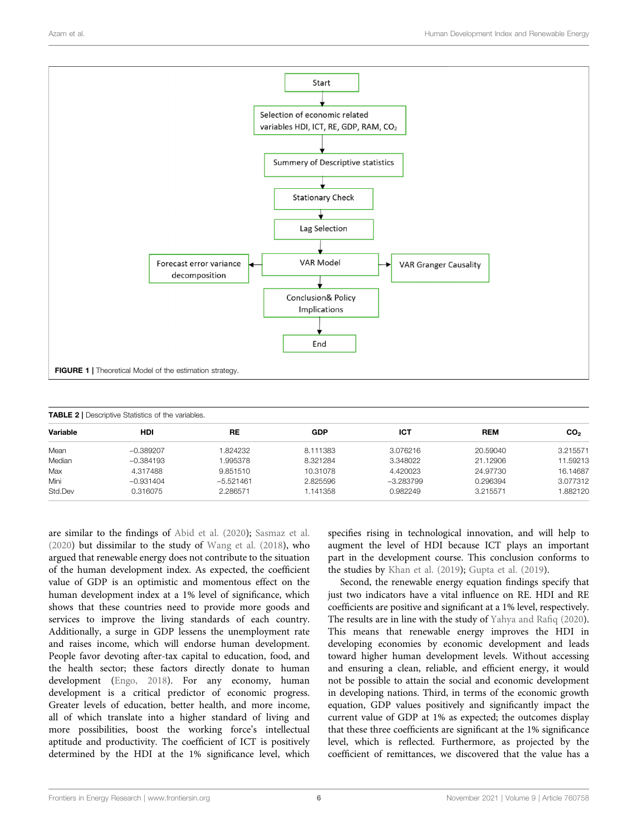

<span id="page-6-1"></span><span id="page-6-0"></span>

| <b>TABLE 2</b>   Descriptive Statistics of the variables. |             |             |          |             |            |                 |  |  |
|-----------------------------------------------------------|-------------|-------------|----------|-------------|------------|-----------------|--|--|
| Variable                                                  | HDI         | RE          | GDP      | ІСТ         | <b>REM</b> | CO <sub>2</sub> |  |  |
| Mean                                                      | $-0.389207$ | 1.824232    | 8.111383 | 3.076216    | 20.59040   | 3.215571        |  |  |
| Median                                                    | $-0.384193$ | 1.995378    | 8.321284 | 3.348022    | 21.12906   | 11.59213        |  |  |
| Max                                                       | 4.317488    | 9.851510    | 10.31078 | 4.420023    | 24.97730   | 16.14687        |  |  |
| Mini                                                      | $-0.931404$ | $-5.521461$ | 2.825596 | $-3.283799$ | 0.296394   | 3.077312        |  |  |
| Std.Dev                                                   | 0.316075    | 2.286571    | 1.141358 | 0.982249    | 3.215571   | 1.882120        |  |  |

are similar to the findings of [Abid et al. \(2020](#page-10-26)); [Sasmaz et al.](#page-11-26) [\(2020\)](#page-11-26) but dissimilar to the study of [Wang et al. \(2018\)](#page-11-28), who argued that renewable energy does not contribute to the situation of the human development index. As expected, the coefficient value of GDP is an optimistic and momentous effect on the human development index at a 1% level of significance, which shows that these countries need to provide more goods and services to improve the living standards of each country. Additionally, a surge in GDP lessens the unemployment rate and raises income, which will endorse human development. People favor devoting after-tax capital to education, food, and the health sector; these factors directly donate to human development ([Engo, 2018\)](#page-10-37). For any economy, human development is a critical predictor of economic progress. Greater levels of education, better health, and more income, all of which translate into a higher standard of living and more possibilities, boost the working force's intellectual aptitude and productivity. The coefficient of ICT is positively determined by the HDI at the 1% significance level, which specifies rising in technological innovation, and will help to augment the level of HDI because ICT plays an important part in the development course. This conclusion conforms to the studies by [Khan et al. \(2019](#page-10-0)); [Gupta et al. \(2019\)](#page-10-29).

Second, the renewable energy equation findings specify that just two indicators have a vital influence on RE. HDI and RE coefficients are positive and significant at a 1% level, respectively. The results are in line with the study of [Yahya and Ra](#page-11-33)fiq (2020). This means that renewable energy improves the HDI in developing economies by economic development and leads toward higher human development levels. Without accessing and ensuring a clean, reliable, and efficient energy, it would not be possible to attain the social and economic development in developing nations. Third, in terms of the economic growth equation, GDP values positively and significantly impact the current value of GDP at 1% as expected; the outcomes display that these three coefficients are significant at the 1% significance level, which is reflected. Furthermore, as projected by the coefficient of remittances, we discovered that the value has a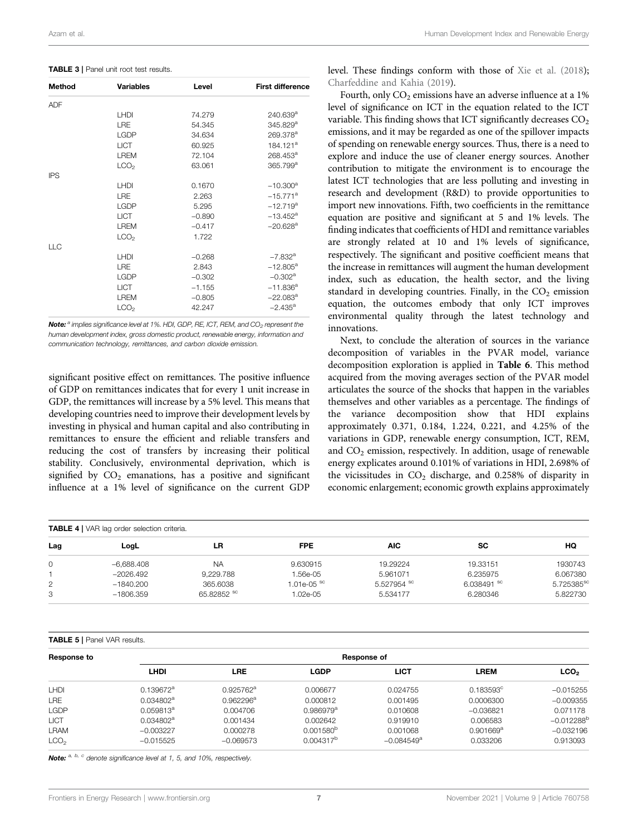<span id="page-7-0"></span>

| <b>TABLE 3</b>   Panel unit root test results. |  |  |  |  |  |
|------------------------------------------------|--|--|--|--|--|
|------------------------------------------------|--|--|--|--|--|

| <b>Method</b> | <b>Variables</b> | Level    | <b>First difference</b> |
|---------------|------------------|----------|-------------------------|
| <b>ADF</b>    |                  |          |                         |
|               | LHDI             | 74.279   | $240.639$ <sup>a</sup>  |
|               | LRE              | 54.345   | 345.829 <sup>a</sup>    |
|               | <b>LGDP</b>      | 34.634   | 269.378 <sup>a</sup>    |
|               | <b>LICT</b>      | 60.925   | 184.121 <sup>a</sup>    |
|               | <b>LREM</b>      | 72.104   | 268.453 <sup>a</sup>    |
|               | LCO <sub>2</sub> | 63.061   | 365.799 <sup>a</sup>    |
| <b>IPS</b>    |                  |          |                         |
|               | LHDI             | 0.1670   | $-10.300^a$             |
|               | <b>LRE</b>       | 2.263    | $-15.771$ <sup>a</sup>  |
|               | <b>LGDP</b>      | 5.295    | $-12.719^{a}$           |
|               | <b>LICT</b>      | $-0.890$ | $-13.452$ <sup>a</sup>  |
|               | <b>LREM</b>      | $-0.417$ | $-20.628$ <sup>a</sup>  |
|               | LCO <sub>2</sub> | 1.722    |                         |
| <b>LLC</b>    |                  |          |                         |
|               | <b>LHDI</b>      | $-0.268$ | $-7.832$ <sup>a</sup>   |
|               | <b>LRE</b>       | 2.843    | $-12.805^{\text{a}}$    |
|               | <b>LGDP</b>      | $-0.302$ | $-0.302$ <sup>a</sup>   |
|               | <b>LICT</b>      | $-1.155$ | $-11.836^a$             |
|               | <b>LREM</b>      | $-0.805$ | $-22.083^a$             |
|               | LCO <sub>2</sub> | 42.247   | $-2.435^{\circ}$        |

Note: <sup>a</sup> implies significance level at 1%. HDI, GDP, RE, ICT, REM, and CO<sub>2</sub> represent the human development index, gross domestic product, renewable energy, information and communication technology, remittances, and carbon dioxide emission.

significant positive effect on remittances. The positive influence of GDP on remittances indicates that for every 1 unit increase in GDP, the remittances will increase by a 5% level. This means that developing countries need to improve their development levels by investing in physical and human capital and also contributing in remittances to ensure the efficient and reliable transfers and reducing the cost of transfers by increasing their political stability. Conclusively, environmental deprivation, which is signified by  $CO<sub>2</sub>$  emanations, has a positive and significant influence at a 1% level of significance on the current GDP level. These findings conform with those of [Xie et al. \(2018\)](#page-11-34); [Charfeddine and Kahia \(2019](#page-10-38)).

Fourth, only  $CO<sub>2</sub>$  emissions have an adverse influence at a 1% level of significance on ICT in the equation related to the ICT variable. This finding shows that ICT significantly decreases  $CO<sub>2</sub>$ emissions, and it may be regarded as one of the spillover impacts of spending on renewable energy sources. Thus, there is a need to explore and induce the use of cleaner energy sources. Another contribution to mitigate the environment is to encourage the latest ICT technologies that are less polluting and investing in research and development (R&D) to provide opportunities to import new innovations. Fifth, two coefficients in the remittance equation are positive and significant at 5 and 1% levels. The finding indicates that coefficients of HDI and remittance variables are strongly related at 10 and 1% levels of significance, respectively. The significant and positive coefficient means that the increase in remittances will augment the human development index, such as education, the health sector, and the living standard in developing countries. Finally, in the  $CO<sub>2</sub>$  emission equation, the outcomes embody that only ICT improves environmental quality through the latest technology and innovations.

Next, to conclude the alteration of sources in the variance decomposition of variables in the PVAR model, variance decomposition exploration is applied in [Table 6](#page-8-0). This method acquired from the moving averages section of the PVAR model articulates the source of the shocks that happen in the variables themselves and other variables as a percentage. The findings of the variance decomposition show that HDI explains approximately 0.371, 0.184, 1.224, 0.221, and 4.25% of the variations in GDP, renewable energy consumption, ICT, REM, and  $CO<sub>2</sub>$  emission, respectively. In addition, usage of renewable energy explicates around 0.101% of variations in HDI, 2.698% of the vicissitudes in  $CO<sub>2</sub>$  discharge, and 0.258% of disparity in economic enlargement; economic growth explains approximately

<span id="page-7-1"></span>

| <b>TABLE 4</b>   VAR lag order selection criteria. |              |             |                          |             |             |                        |  |
|----------------------------------------------------|--------------|-------------|--------------------------|-------------|-------------|------------------------|--|
| Lag                                                | LogL         | LR          | <b>FPE</b>               | AIC.        | <b>SC</b>   | HQ                     |  |
| 0                                                  | $-6,688.408$ | <b>NA</b>   | 9.630915                 | 19.29224    | 19.33151    | 1930743                |  |
|                                                    | $-2026.492$  | 9.229.788   | 1.56e-05                 | 5.961071    | 6.235975    | 6.067380               |  |
| $\overline{2}$                                     | $-1840.200$  | 365,6038    | $1.01e-05$ <sup>sc</sup> | 5.527954 sc | 6.038491 sc | 5.725385 <sup>sc</sup> |  |
| З                                                  | $-1806.359$  | 65.82852 sc | 1.02e-05                 | 5.534177    | 6.280346    | 5.822730               |  |

#### <span id="page-7-2"></span>TABLE 5 | Panel VAR results.

| Response to      |              | Response of           |                       |                          |                    |                  |  |  |  |
|------------------|--------------|-----------------------|-----------------------|--------------------------|--------------------|------------------|--|--|--|
|                  | LHDI         | LRE                   | <b>LGDP</b>           | <b>LICT</b>              | <b>LREM</b>        | LCO <sub>2</sub> |  |  |  |
| <b>LHDI</b>      | $0.139672^a$ | 0.925762 <sup>a</sup> | 0.006677              | 0.024755                 | $0.183593^{\circ}$ | $-0.015255$      |  |  |  |
| <b>LRE</b>       | $0.034802^a$ | 0.962296 <sup>a</sup> | 0.000812              | 0.001495                 | 0.0006300          | $-0.009355$      |  |  |  |
| LGDP             | $0.059813^a$ | 0.004706              | $0.986979^a$          | 0.010608                 | $-0.036821$        | 0.071178         |  |  |  |
| <b>LICT</b>      | $0.034802^a$ | 0.001434              | 0.002642              | 0.919910                 | 0.006583           | $-0.012288^{b}$  |  |  |  |
| <b>LRAM</b>      | $-0.003227$  | 0.000278              | $0.001580^{b}$        | 0.001068                 | $0.901669^{\rm a}$ | $-0.032196$      |  |  |  |
| LCO <sub>2</sub> | $-0.015525$  | $-0.069573$           | 0.004317 <sup>b</sup> | $-0.084549$ <sup>a</sup> | 0.033206           | 0.913093         |  |  |  |

Note: a, b, c denote significance level at 1, 5, and 10%, respectively.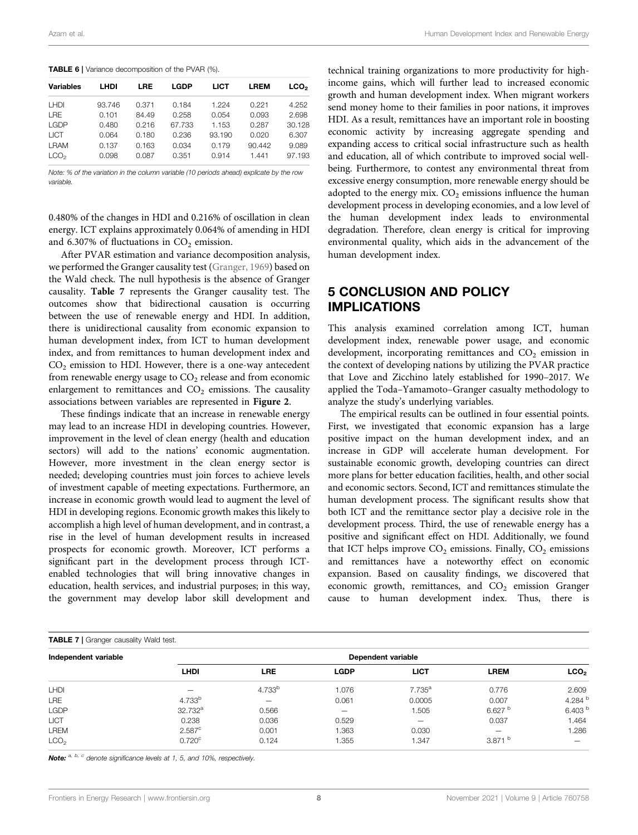<span id="page-8-0"></span>

|  | <b>TABLE 6</b>   Variance decomposition of the PVAR (%). |  |
|--|----------------------------------------------------------|--|
|--|----------------------------------------------------------|--|

| <b>Variables</b> | LHDI   | <b>LRE</b> | <b>LGDP</b> | <b>LICT</b> | <b>LREM</b> | LCO <sub>2</sub> |
|------------------|--------|------------|-------------|-------------|-------------|------------------|
| <b>LHDI</b>      | 93.746 | 0.371      | 0.184       | 1.224       | 0.221       | 4.252            |
| <b>LRE</b>       | 0.101  | 84.49      | 0.258       | 0.054       | 0.093       | 2.698            |
| <b>LGDP</b>      | 0.480  | 0.216      | 67.733      | 1.153       | 0.287       | 30.128           |
| <b>LICT</b>      | 0.064  | 0.180      | 0.236       | 93.190      | 0.020       | 6.307            |
| <b>LRAM</b>      | 0.137  | 0.163      | 0.034       | 0.179       | 90.442      | 9.089            |
| LCO <sub>2</sub> | 0.098  | 0.087      | 0.351       | 0.914       | 1.441       | 97.193           |

Note: % of the variation in the column variable (10 periods ahead) explicate by the row variable.

0.480% of the changes in HDI and 0.216% of oscillation in clean energy. ICT explains approximately 0.064% of amending in HDI and 6.307% of fluctuations in  $CO<sub>2</sub>$  emission.

After PVAR estimation and variance decomposition analysis, we performed the Granger causality test [\(Granger, 1969](#page-10-39)) based on the Wald check. The null hypothesis is the absence of Granger causality. [Table 7](#page-8-1) represents the Granger causality test. The outcomes show that bidirectional causation is occurring between the use of renewable energy and HDI. In addition, there is unidirectional causality from economic expansion to human development index, from ICT to human development index, and from remittances to human development index and  $CO<sub>2</sub>$  emission to HDI. However, there is a one-way antecedent from renewable energy usage to  $CO<sub>2</sub>$  release and from economic enlargement to remittances and  $CO<sub>2</sub>$  emissions. The causality associations between variables are represented in [Figure 2](#page-9-0).

These findings indicate that an increase in renewable energy may lead to an increase HDI in developing countries. However, improvement in the level of clean energy (health and education sectors) will add to the nations' economic augmentation. However, more investment in the clean energy sector is needed; developing countries must join forces to achieve levels of investment capable of meeting expectations. Furthermore, an increase in economic growth would lead to augment the level of HDI in developing regions. Economic growth makes this likely to accomplish a high level of human development, and in contrast, a rise in the level of human development results in increased prospects for economic growth. Moreover, ICT performs a significant part in the development process through ICTenabled technologies that will bring innovative changes in education, health services, and industrial purposes; in this way, the government may develop labor skill development and

technical training organizations to more productivity for highincome gains, which will further lead to increased economic growth and human development index. When migrant workers send money home to their families in poor nations, it improves HDI. As a result, remittances have an important role in boosting economic activity by increasing aggregate spending and expanding access to critical social infrastructure such as health and education, all of which contribute to improved social wellbeing. Furthermore, to contest any environmental threat from excessive energy consumption, more renewable energy should be adopted to the energy mix.  $CO<sub>2</sub>$  emissions influence the human development process in developing economies, and a low level of the human development index leads to environmental degradation. Therefore, clean energy is critical for improving environmental quality, which aids in the advancement of the human development index.

# 5 CONCLUSION AND POLICY IMPLICATIONS

This analysis examined correlation among ICT, human development index, renewable power usage, and economic development, incorporating remittances and  $CO<sub>2</sub>$  emission in the context of developing nations by utilizing the PVAR practice that Love and Zicchino lately established for 1990–2017. We applied the Toda–Yamamoto–Granger casualty methodology to analyze the study's underlying variables.

The empirical results can be outlined in four essential points. First, we investigated that economic expansion has a large positive impact on the human development index, and an increase in GDP will accelerate human development. For sustainable economic growth, developing countries can direct more plans for better education facilities, health, and other social and economic sectors. Second, ICT and remittances stimulate the human development process. The significant results show that both ICT and the remittance sector play a decisive role in the development process. Third, the use of renewable energy has a positive and significant effect on HDI. Additionally, we found that ICT helps improve  $CO<sub>2</sub>$  emissions. Finally,  $CO<sub>2</sub>$  emissions and remittances have a noteworthy effect on economic expansion. Based on causality findings, we discovered that economic growth, remittances, and  $CO<sub>2</sub>$  emission Granger cause to human development index. Thus, there is

<span id="page-8-1"></span>

| <b>TABLE 7</b>   Granger causality Wald test. |                      |                    |                          |             |                    |                    |  |
|-----------------------------------------------|----------------------|--------------------|--------------------------|-------------|--------------------|--------------------|--|
| Independent variable                          | Dependent variable   |                    |                          |             |                    |                    |  |
|                                               | <b>LHDI</b>          | LRE                | <b>LGDP</b>              | <b>LICT</b> | <b>LREM</b>        | LCO <sub>2</sub>   |  |
| <b>LHDI</b>                                   |                      | 4.733 <sup>b</sup> | 1.076                    | $7.735^{a}$ | 0.776              | 2.609              |  |
| <b>LRE</b>                                    | 4.733 <sup>b</sup>   | $\qquad \qquad$    | 0.061                    | 0.0005      | 0.007              | 4.284 $b$          |  |
| LGDP                                          | $32.732^a$           | 0.566              | $\overline{\phantom{m}}$ | 1.505       | 6.627 <sup>b</sup> | 6.403 <sup>b</sup> |  |
| <b>LICT</b>                                   | 0.238                | 0.036              | 0.529                    | -           | 0.037              | 1.464              |  |
| <b>LREM</b>                                   | $2.587$ <sup>c</sup> | 0.001              | 1.363                    | 0.030       | -                  | 1.286              |  |
| LCO <sub>2</sub>                              | $0.720$ <sup>c</sup> | 0.124              | 1.355                    | 1.347       | 3.871 $^{\rm b}$   |                    |  |

Note: a, b, c denote significance levels at 1, 5, and 10%, respectively.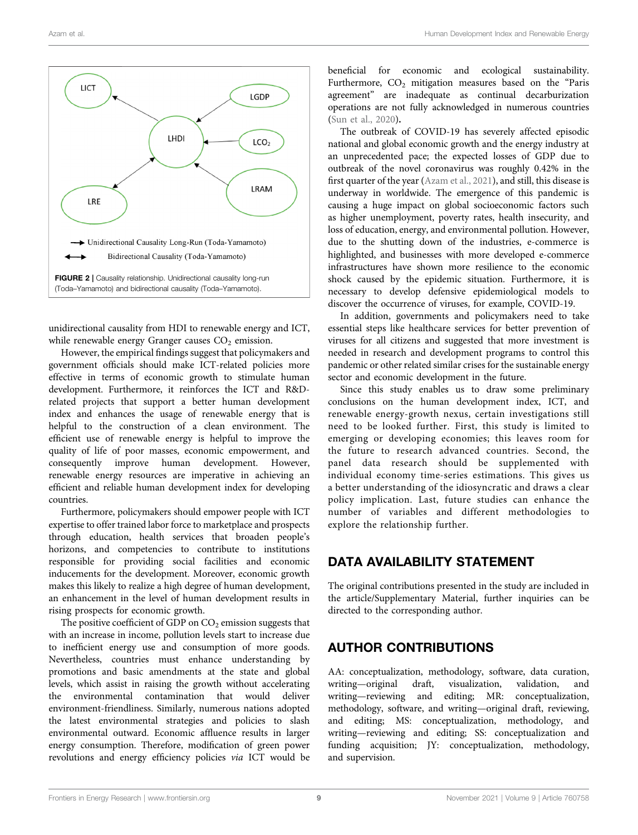

<span id="page-9-0"></span>unidirectional causality from HDI to renewable energy and ICT, while renewable energy Granger causes  $CO<sub>2</sub>$  emission.

However, the empirical findings suggest that policymakers and government officials should make ICT-related policies more effective in terms of economic growth to stimulate human development. Furthermore, it reinforces the ICT and R&Drelated projects that support a better human development index and enhances the usage of renewable energy that is helpful to the construction of a clean environment. The efficient use of renewable energy is helpful to improve the quality of life of poor masses, economic empowerment, and consequently improve human development. However, renewable energy resources are imperative in achieving an efficient and reliable human development index for developing countries.

Furthermore, policymakers should empower people with ICT expertise to offer trained labor force to marketplace and prospects through education, health services that broaden people's horizons, and competencies to contribute to institutions responsible for providing social facilities and economic inducements for the development. Moreover, economic growth makes this likely to realize a high degree of human development, an enhancement in the level of human development results in rising prospects for economic growth.

The positive coefficient of GDP on  $CO<sub>2</sub>$  emission suggests that with an increase in income, pollution levels start to increase due to inefficient energy use and consumption of more goods. Nevertheless, countries must enhance understanding by promotions and basic amendments at the state and global levels, which assist in raising the growth without accelerating the environmental contamination that would deliver environment-friendliness. Similarly, numerous nations adopted the latest environmental strategies and policies to slash environmental outward. Economic affluence results in larger energy consumption. Therefore, modification of green power revolutions and energy efficiency policies via ICT would be beneficial for economic and ecological sustainability. Furthermore,  $CO<sub>2</sub>$  mitigation measures based on the "Paris agreement" are inadequate as continual decarburization operations are not fully acknowledged in numerous countries [\(Sun et al., 2020\)](#page-11-35).

The outbreak of COVID-19 has severely affected episodic national and global economic growth and the energy industry at an unprecedented pace; the expected losses of GDP due to outbreak of the novel coronavirus was roughly 0.42% in the first quarter of the year [\(Azam et al., 2021\)](#page-10-4), and still, this disease is underway in worldwide. The emergence of this pandemic is causing a huge impact on global socioeconomic factors such as higher unemployment, poverty rates, health insecurity, and loss of education, energy, and environmental pollution. However, due to the shutting down of the industries, e-commerce is highlighted, and businesses with more developed e-commerce infrastructures have shown more resilience to the economic shock caused by the epidemic situation. Furthermore, it is necessary to develop defensive epidemiological models to discover the occurrence of viruses, for example, COVID-19.

In addition, governments and policymakers need to take essential steps like healthcare services for better prevention of viruses for all citizens and suggested that more investment is needed in research and development programs to control this pandemic or other related similar crises for the sustainable energy sector and economic development in the future.

Since this study enables us to draw some preliminary conclusions on the human development index, ICT, and renewable energy-growth nexus, certain investigations still need to be looked further. First, this study is limited to emerging or developing economies; this leaves room for the future to research advanced countries. Second, the panel data research should be supplemented with individual economy time-series estimations. This gives us a better understanding of the idiosyncratic and draws a clear policy implication. Last, future studies can enhance the number of variables and different methodologies to explore the relationship further.

# DATA AVAILABILITY STATEMENT

The original contributions presented in the study are included in the article/Supplementary Material, further inquiries can be directed to the corresponding author.

# AUTHOR CONTRIBUTIONS

AA: conceptualization, methodology, software, data curation, writing—original draft, visualization, validation, and writing—reviewing and editing; MR: conceptualization, writing—reviewing and editing; MR: methodology, software, and writing—original draft, reviewing, and editing; MS: conceptualization, methodology, and writing—reviewing and editing; SS: conceptualization and funding acquisition; JY: conceptualization, methodology, and supervision.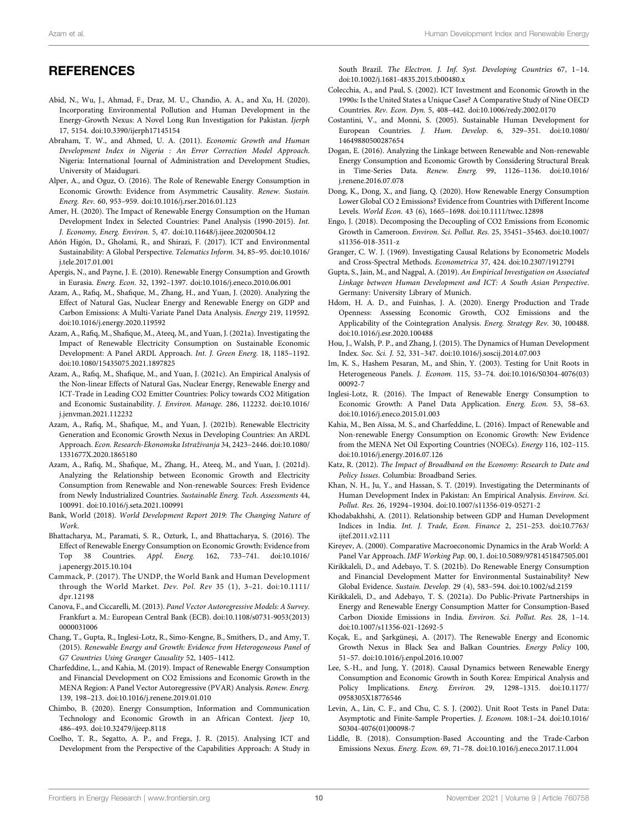# **REFERENCES**

- <span id="page-10-26"></span>Abid, N., Wu, J., Ahmad, F., Draz, M. U., Chandio, A. A., and Xu, H. (2020). Incorporating Environmental Pollution and Human Development in the Energy-Growth Nexus: A Novel Long Run Investigation for Pakistan. Ijerph 17, 5154. doi[:10.3390/ijerph17145154](https://doi.org/10.3390/ijerph17145154)
- <span id="page-10-17"></span>Abraham, T. W., and Ahmed, U. A. (2011). Economic Growth and Human Development Index in Nigeria : An Error Correction Model Approach. Nigeria: International Journal of Administration and Development Studies, University of Maiduguri.
- <span id="page-10-10"></span>Alper, A., and Oguz, O. (2016). The Role of Renewable Energy Consumption in Economic Growth: Evidence from Asymmetric Causality. Renew. Sustain. Energ. Rev. 60, 953–959. doi[:10.1016/j.rser.2016.01.123](https://doi.org/10.1016/j.rser.2016.01.123)
- <span id="page-10-30"></span>Amer, H. (2020). The Impact of Renewable Energy Consumption on the Human Development Index in Selected Countries: Panel Analysis (1990-2015). Int. J. Economy, Energ. Environ. 5, 47. doi[:10.11648/j.ijeee.20200504.12](https://doi.org/10.11648/j.ijeee.20200504.12)
- <span id="page-10-27"></span>Añón Higón, D., Gholami, R., and Shirazi, F. (2017). ICT and Environmental Sustainability: A Global Perspective. Telematics Inform. 34, 85–95. doi:[10.1016/](https://doi.org/10.1016/j.tele.2017.01.001) [j.tele.2017.01.001](https://doi.org/10.1016/j.tele.2017.01.001)
- <span id="page-10-23"></span>Apergis, N., and Payne, J. E. (2010). Renewable Energy Consumption and Growth in Eurasia. Energ. Econ. 32, 1392–1397. doi:[10.1016/j.eneco.2010.06.001](https://doi.org/10.1016/j.eneco.2010.06.001)
- <span id="page-10-25"></span>Azam, A., Rafiq, M., Shafique, M., Zhang, H., and Yuan, J. (2020). Analyzing the Effect of Natural Gas, Nuclear Energy and Renewable Energy on GDP and Carbon Emissions: A Multi-Variate Panel Data Analysis. Energy 219, 119592. doi:[10.1016/j.energy.2020.119592](https://doi.org/10.1016/j.energy.2020.119592)
- <span id="page-10-1"></span>Azam, A., Rafiq, M., Shafique, M., Ateeq, M., and Yuan, J. (2021a). Investigating the Impact of Renewable Electricity Consumption on Sustainable Economic Development: A Panel ARDL Approach. Int. J. Green Energ. 18, 1185–1192. doi:[10.1080/15435075.2021.1897825](https://doi.org/10.1080/15435075.2021.1897825)
- Azam, A., Rafiq, M., Shafique, M., and Yuan, J. (2021c). An Empirical Analysis of the Non-linear Effects of Natural Gas, Nuclear Energy, Renewable Energy and ICT-Trade in Leading CO2 Emitter Countries: Policy towards CO2 Mitigation and Economic Sustainability. J. Environ. Manage. 286, 112232. doi:[10.1016/](https://doi.org/10.1016/j.jenvman.2021.112232) [j.jenvman.2021.112232](https://doi.org/10.1016/j.jenvman.2021.112232)
- <span id="page-10-4"></span>Azam, A., Rafiq, M., Shafique, M., and Yuan, J. (2021b). Renewable Electricity Generation and Economic Growth Nexus in Developing Countries: An ARDL Approach. Econ. Research-Ekonomska Istraživanja 34, 2423–2446. doi:[10.1080/](https://doi.org/10.1080/1331677X.2020.1865180) [1331677X.2020.1865180](https://doi.org/10.1080/1331677X.2020.1865180)
- <span id="page-10-7"></span>Azam, A., Rafiq, M., Shafique, M., Zhang, H., Ateeq, M., and Yuan, J. (2021d). Analyzing the Relationship between Economic Growth and Electricity Consumption from Renewable and Non-renewable Sources: Fresh Evidence from Newly Industrialized Countries. Sustainable Energ. Tech. Assessments 44, 100991. doi[:10.1016/j.seta.2021.100991](https://doi.org/10.1016/j.seta.2021.100991)
- <span id="page-10-32"></span>Bank, World (2018). World Development Report 2019: The Changing Nature of Work.
- <span id="page-10-9"></span>Bhattacharya, M., Paramati, S. R., Ozturk, I., and Bhattacharya, S. (2016). The Effect of Renewable Energy Consumption on Economic Growth: Evidence from Top 38 Countries. Appl. Energ. 162, 733–741. doi:[10.1016/](https://doi.org/10.1016/j.apenergy.2015.10.104) [j.apenergy.2015.10.104](https://doi.org/10.1016/j.apenergy.2015.10.104)
- <span id="page-10-31"></span>Cammack, P. (2017). The UNDP, the World Bank and Human Development through the World Market. Dev. Pol. Rev 35 (1), 3–21. doi[:10.1111/](https://doi.org/10.1111/dpr.12198) [dpr.12198](https://doi.org/10.1111/dpr.12198)
- <span id="page-10-6"></span>Canova, F., and Ciccarelli, M. (2013). Panel Vector Autoregressive Models: A Survey. Frankfurt a. M.: European Central Bank (ECB). doi[:10.1108/s0731-9053\(2013\)](https://doi.org/10.1108/s0731-9053(2013)0000031006) [0000031006](https://doi.org/10.1108/s0731-9053(2013)0000031006)
- <span id="page-10-11"></span>Chang, T., Gupta, R., Inglesi-Lotz, R., Simo-Kengne, B., Smithers, D., and Amy, T. (2015). Renewable Energy and Growth: Evidence from Heterogeneous Panel of G7 Countries Using Granger Causality 52, 1405–1412.
- <span id="page-10-38"></span>Charfeddine, L., and Kahia, M. (2019). Impact of Renewable Energy Consumption and Financial Development on CO2 Emissions and Economic Growth in the MENA Region: A Panel Vector Autoregressive (PVAR) Analysis. Renew. Energ. 139, 198–213. doi:[10.1016/j.renene.2019.01.010](https://doi.org/10.1016/j.renene.2019.01.010)
- <span id="page-10-28"></span>Chimbo, B. (2020). Energy Consumption, Information and Communication Technology and Economic Growth in an African Context. Ijeep 10, 486–493. doi:[10.32479/ijeep.8118](https://doi.org/10.32479/ijeep.8118)
- <span id="page-10-20"></span>Coelho, T. R., Segatto, A. P., and Frega, J. R. (2015). Analysing ICT and Development from the Perspective of the Capabilities Approach: A Study in

South Brazil. The Electron. J. Inf. Syst. Developing Countries 67, 1–14. doi[:10.1002/j.1681-4835.2015.tb00480.x](https://doi.org/10.1002/j.1681-4835.2015.tb00480.x)

- <span id="page-10-21"></span>Colecchia, A., and Paul, S. (2002). ICT Investment and Economic Growth in the 1990s: Is the United States a Unique Case? A Comparative Study of Nine OECD Countries. Rev. Econ. Dyn. 5, 408–442. doi[:10.1006/redy.2002.0170](https://doi.org/10.1006/redy.2002.0170)
- <span id="page-10-19"></span>Costantini, V., and Monni, S. (2005). Sustainable Human Development for European Countries. J. Hum. Develop. 6, 329–351. doi[:10.1080/](https://doi.org/10.1080/14649880500287654) [14649880500287654](https://doi.org/10.1080/14649880500287654)
- <span id="page-10-13"></span>Dogan, E. (2016). Analyzing the Linkage between Renewable and Non-renewable Energy Consumption and Economic Growth by Considering Structural Break in Time-Series Data. Renew. Energ. 99, 1126–1136. doi[:10.1016/](https://doi.org/10.1016/j.renene.2016.07.078) [j.renene.2016.07.078](https://doi.org/10.1016/j.renene.2016.07.078)
- <span id="page-10-12"></span>Dong, K., Dong, X., and Jiang, Q. (2020). How Renewable Energy Consumption Lower Global CO 2 Emissions? Evidence from Countries with Different Income Levels. World Econ. 43 (6), 1665–1698. doi:[10.1111/twec.12898](https://doi.org/10.1111/twec.12898)
- <span id="page-10-37"></span>Engo, J. (2018). Decomposing the Decoupling of CO2 Emissions from Economic Growth in Cameroon. Environ. Sci. Pollut. Res. 25, 35451–35463. doi[:10.1007/](https://doi.org/10.1007/s11356-018-3511-z) [s11356-018-3511-z](https://doi.org/10.1007/s11356-018-3511-z)
- <span id="page-10-39"></span>Granger, C. W. J. (1969). Investigating Causal Relations by Econometric Models and Cross-Spectral Methods. Econometrica 37, 424. doi[:10.2307/1912791](https://doi.org/10.2307/1912791)
- <span id="page-10-29"></span>Gupta, S., Jain, M., and Nagpal, A. (2019). An Empirical Investigation on Associated Linkage between Human Development and ICT: A South Asian Perspective. Germany: University Library of Munich.
- <span id="page-10-36"></span>Hdom, H. A. D., and Fuinhas, J. A. (2020). Energy Production and Trade Openness: Assessing Economic Growth, CO2 Emissions and the Applicability of the Cointegration Analysis. Energ. Strategy Rev. 30, 100488. doi[:10.1016/j.esr.2020.100488](https://doi.org/10.1016/j.esr.2020.100488)
- <span id="page-10-16"></span>Hou, J., Walsh, P. P., and Zhang, J. (2015). The Dynamics of Human Development Index. Soc. Sci. J. 52, 331–347. doi[:10.1016/j.soscij.2014.07.003](https://doi.org/10.1016/j.soscij.2014.07.003)
- <span id="page-10-34"></span>Im, K. S., Hashem Pesaran, M., and Shin, Y. (2003). Testing for Unit Roots in Heterogeneous Panels. J. Econom. 115, 53–74. doi[:10.1016/S0304-4076\(03\)](https://doi.org/10.1016/S0304-4076(03)00092-7) [00092-7](https://doi.org/10.1016/S0304-4076(03)00092-7)
- <span id="page-10-8"></span>Inglesi-Lotz, R. (2016). The Impact of Renewable Energy Consumption to Economic Growth: A Panel Data Application. Energ. Econ. 53, 58–63. doi[:10.1016/j.eneco.2015.01.003](https://doi.org/10.1016/j.eneco.2015.01.003)
- <span id="page-10-14"></span>Kahia, M., Ben Aïssa, M. S., and Charfeddine, L. (2016). Impact of Renewable and Non-renewable Energy Consumption on Economic Growth: New Evidence from the MENA Net Oil Exporting Countries (NOECs). Energy 116, 102–115. doi[:10.1016/j.energy.2016.07.126](https://doi.org/10.1016/j.energy.2016.07.126)
- <span id="page-10-22"></span>Katz, R. (2012). The Impact of Broadband on the Economy: Research to Date and Policy Issues. Columbia: Broadband Series.
- <span id="page-10-0"></span>Khan, N. H., Ju, Y., and Hassan, S. T. (2019). Investigating the Determinants of Human Development Index in Pakistan: An Empirical Analysis. Environ. Sci. Pollut. Res. 26, 19294–19304. doi[:10.1007/s11356-019-05271-2](https://doi.org/10.1007/s11356-019-05271-2)
- <span id="page-10-18"></span>Khodabakhshi, A. (2011). Relationship between GDP and Human Development Indices in India. Int. J. Trade, Econ. Finance 2, 251–253. doi[:10.7763/](https://doi.org/10.7763/ijtef.2011.v2.111) iitef.2011.v2.111
- <span id="page-10-33"></span>Kireyev, A. (2000). Comparative Macroeconomic Dynamics in the Arab World: A Panel Var Approach. IMF Working Pap. 00, 1. doi[:10.5089/9781451847505.001](https://doi.org/10.5089/9781451847505.001)
- <span id="page-10-2"></span>Kirikkaleli, D., and Adebayo, T. S. (2021b). Do Renewable Energy Consumption and Financial Development Matter for Environmental Sustainability? New Global Evidence. Sustain. Develop. 29 (4), 583–594. doi[:10.1002/sd.2159](https://doi.org/10.1002/sd.2159)
- <span id="page-10-3"></span>Kirikkaleli, D., and Adebayo, T. S. (2021a). Do Public-Private Partnerships in Energy and Renewable Energy Consumption Matter for Consumption-Based Carbon Dioxide Emissions in India. Environ. Sci. Pollut. Res. 28, 1–14. doi[:10.1007/s11356-021-12692-5](https://doi.org/10.1007/s11356-021-12692-5)
- <span id="page-10-15"></span>Koçak, E., and Şarkgüneşi, A. (2017). The Renewable Energy and Economic Growth Nexus in Black Sea and Balkan Countries. Energy Policy 100, 51–57. doi:[10.1016/j.enpol.2016.10.007](https://doi.org/10.1016/j.enpol.2016.10.007)
- <span id="page-10-24"></span>Lee, S.-H., and Jung, Y. (2018). Causal Dynamics between Renewable Energy Consumption and Economic Growth in South Korea: Empirical Analysis and Policy Implications. Energ. Environ. 29, 1298–1315. doi[:10.1177/](https://doi.org/10.1177/0958305X18776546) [0958305X18776546](https://doi.org/10.1177/0958305X18776546)
- <span id="page-10-35"></span>Levin, A., Lin, C. F., and Chu, C. S. J. (2002). Unit Root Tests in Panel Data: Asymptotic and Finite-Sample Properties. J. Econom. 108:1–24. doi[:10.1016/](https://doi.org/10.1016/S0304-4076(01)00098-7) [S0304-4076\(01\)00098-7](https://doi.org/10.1016/S0304-4076(01)00098-7)
- <span id="page-10-5"></span>Liddle, B. (2018). Consumption-Based Accounting and the Trade-Carbon Emissions Nexus. Energ. Econ. 69, 71–78. doi[:10.1016/j.eneco.2017.11.004](https://doi.org/10.1016/j.eneco.2017.11.004)